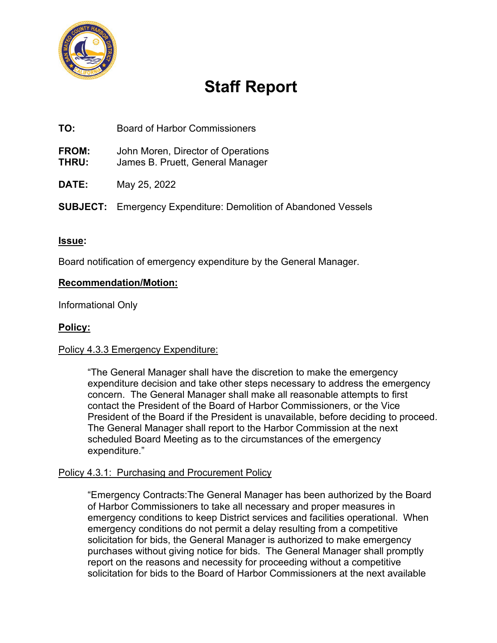

# **Staff Report**

**TO:** Board of Harbor Commissioners

**FROM:** John Moren, Director of Operations

- **THRU:** James B. Pruett, General Manager
- **DATE:** May 25, 2022
- **SUBJECT:** Emergency Expenditure: Demolition of Abandoned Vessels

## **Issue:**

Board notification of emergency expenditure by the General Manager.

#### **Recommendation/Motion:**

Informational Only

## **Policy:**

#### Policy 4.3.3 Emergency Expenditure:

"The General Manager shall have the discretion to make the emergency expenditure decision and take other steps necessary to address the emergency concern. The General Manager shall make all reasonable attempts to first contact the President of the Board of Harbor Commissioners, or the Vice President of the Board if the President is unavailable, before deciding to proceed. The General Manager shall report to the Harbor Commission at the next scheduled Board Meeting as to the circumstances of the emergency expenditure."

#### Policy 4.3.1: Purchasing and Procurement Policy

"Emergency Contracts:The General Manager has been authorized by the Board of Harbor Commissioners to take all necessary and proper measures in emergency conditions to keep District services and facilities operational. When emergency conditions do not permit a delay resulting from a competitive solicitation for bids, the General Manager is authorized to make emergency purchases without giving notice for bids. The General Manager shall promptly report on the reasons and necessity for proceeding without a competitive solicitation for bids to the Board of Harbor Commissioners at the next available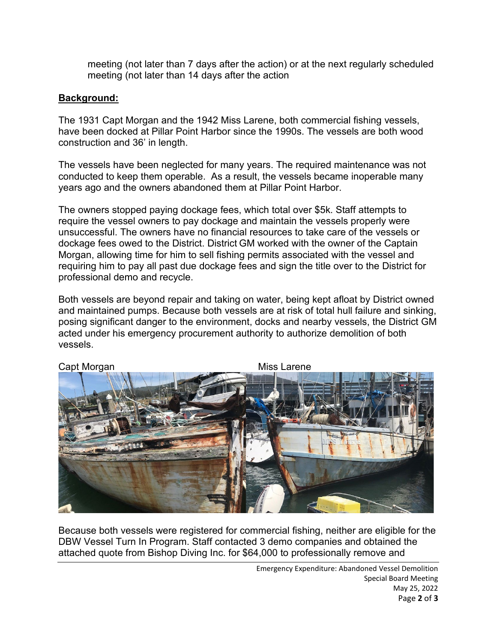meeting (not later than 7 days after the action) or at the next regularly scheduled meeting (not later than 14 days after the action

# **Background:**

The 1931 Capt Morgan and the 1942 Miss Larene, both commercial fishing vessels, have been docked at Pillar Point Harbor since the 1990s. The vessels are both wood construction and 36' in length.

The vessels have been neglected for many years. The required maintenance was not conducted to keep them operable. As a result, the vessels became inoperable many years ago and the owners abandoned them at Pillar Point Harbor.

The owners stopped paying dockage fees, which total over \$5k. Staff attempts to require the vessel owners to pay dockage and maintain the vessels properly were unsuccessful. The owners have no financial resources to take care of the vessels or dockage fees owed to the District. District GM worked with the owner of the Captain Morgan, allowing time for him to sell fishing permits associated with the vessel and requiring him to pay all past due dockage fees and sign the title over to the District for professional demo and recycle.

Both vessels are beyond repair and taking on water, being kept afloat by District owned and maintained pumps. Because both vessels are at risk of total hull failure and sinking, posing significant danger to the environment, docks and nearby vessels, the District GM acted under his emergency procurement authority to authorize demolition of both vessels.



Because both vessels were registered for commercial fishing, neither are eligible for the DBW Vessel Turn In Program. Staff contacted 3 demo companies and obtained the attached quote from Bishop Diving Inc. for \$64,000 to professionally remove and